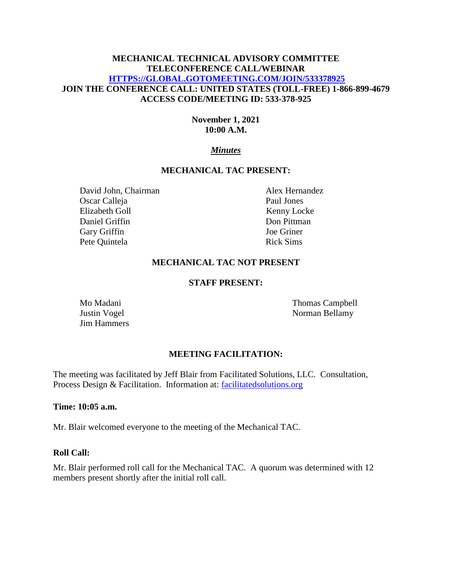# **MECHANICAL TECHNICAL ADVISORY COMMITTEE TELECONFERENCE CALL/WEBINAR [HTTPS://GLOBAL.GOTOMEETING.COM/JOIN/533378925](https://global.gotomeeting.com/JOIN/533378925) JOIN THE CONFERENCE CALL: UNITED STATES (TOLL-FREE) 1-866-899-4679 ACCESS CODE/MEETING ID: 533-378-925**

# **November 1, 2021 10:00 A.M.**

# *Minutes*

### **MECHANICAL TAC PRESENT:**

David John, Chairman Alex Hernandez Oscar Calleja Paul Jones Elizabeth Goll Kenny Locke Daniel Griffin Don Pittman Gary Griffin Joe Griner Pete Quintela Rick Sims

### **MECHANICAL TAC NOT PRESENT**

#### **STAFF PRESENT:**

Jim Hammers

Mo Madani Thomas Campbell Justin Vogel Norman Bellamy

### **MEETING FACILITATION:**

The meeting was facilitated by Jeff Blair from Facilitated Solutions, LLC. Consultation, Process Design & Facilitation. Information at: [facilitatedsolutions.org](http://facilitatedsolutions.org/)

### **Time: 10:05 a.m.**

Mr. Blair welcomed everyone to the meeting of the Mechanical TAC.

### **Roll Call:**

Mr. Blair performed roll call for the Mechanical TAC. A quorum was determined with 12 members present shortly after the initial roll call.